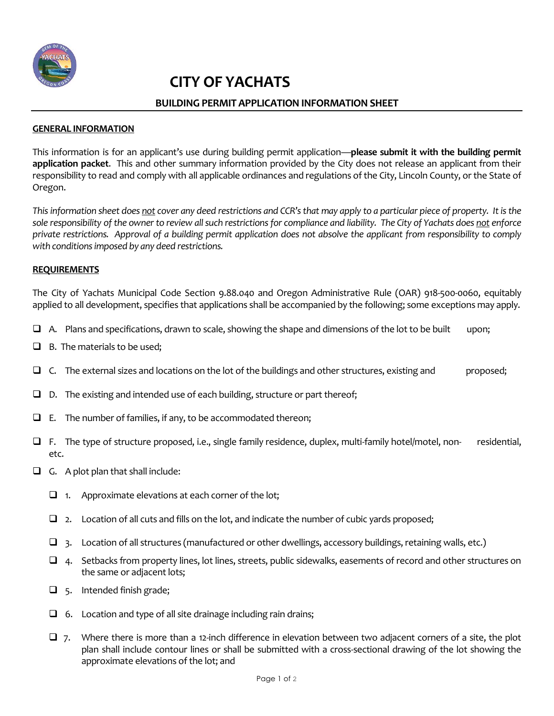

# **CITY OF YACHATS**

# **BUILDING PERMIT APPLICATION INFORMATION SHEET**

#### **GENERAL INFORMATION**

This information is for an applicant's use during building permit application—**please submit it with the building permit application packet**. This and other summary information provided by the City does not release an applicant from their responsibility to read and comply with all applicable ordinances and regulations of the City, Lincoln County, or the State of Oregon.

*This information sheet does not cover any deed restrictions and CCR'sthat may apply to a particular piece of property. It is the sole responsibility of the owner to review all such restrictions for compliance and liability. The City of Yachats does not enforce private restrictions. Approval of a building permit application does not absolve the applicant from responsibility to comply with conditions imposed by any deed restrictions.*

### **REQUIREMENTS**

The City of Yachats Municipal Code Section 9.88.040 and Oregon Administrative Rule (OAR) 918-500-0060, equitably applied to all development, specifies that applications shall be accompanied by the following; some exceptions may apply.

- $\Box$  A. Plans and specifications, drawn to scale, showing the shape and dimensions of the lot to be built upon;
- ❑ B. The materials to be used;
- $\Box$  C. The external sizes and locations on the lot of the buildings and other structures, existing and proposed;
- ❑ D. The existing and intended use of each building, structure or part thereof;
- $\Box$  E. The number of families, if any, to be accommodated thereon;
- ❑ F. The type of structure proposed, i.e., single family residence, duplex, multi-family hotel/motel, non- residential, etc.
- ❑ G. A plot plan that shall include:
	- $\Box$  1. Approximate elevations at each corner of the lot;
	- $\Box$  2. Location of all cuts and fills on the lot, and indicate the number of cubic yards proposed;
	- $\Box$  3. Location of all structures (manufactured or other dwellings, accessory buildings, retaining walls, etc.)
	- $\Box$  4. Setbacks from property lines, lot lines, streets, public sidewalks, easements of record and other structures on the same or adjacent lots;
	- ❑ 5. Intended finish grade;
	- $\Box$  6. Location and type of all site drainage including rain drains;
	- $\Box$  7. Where there is more than a 12-inch difference in elevation between two adjacent corners of a site, the plot plan shall include contour lines or shall be submitted with a cross-sectional drawing of the lot showing the approximate elevations of the lot; and